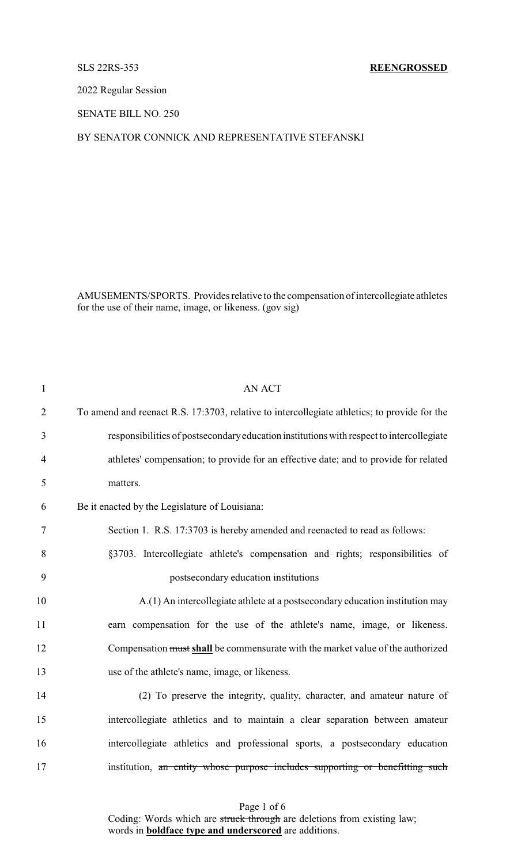## SLS 22RS-353 **REENGROSSED**

2022 Regular Session

SENATE BILL NO. 250

## BY SENATOR CONNICK AND REPRESENTATIVE STEFANSKI

AMUSEMENTS/SPORTS. Provides relative to the compensation of intercollegiate athletes for the use of their name, image, or likeness. (gov sig)

| $\mathbf{1}$   | <b>AN ACT</b>                                                                                |
|----------------|----------------------------------------------------------------------------------------------|
| $\overline{2}$ | To amend and reenact R.S. 17:3703, relative to intercollegiate athletics; to provide for the |
| 3              | responsibilities of postsecondary education institutions with respect to intercollegiate     |
| $\overline{4}$ | athletes' compensation; to provide for an effective date; and to provide for related         |
| 5              | matters.                                                                                     |
| 6              | Be it enacted by the Legislature of Louisiana:                                               |
| $\tau$         | Section 1. R.S. 17:3703 is hereby amended and reenacted to read as follows:                  |
| 8              | §3703. Intercollegiate athlete's compensation and rights; responsibilities of                |
| 9              | postsecondary education institutions                                                         |
| 10             | A.(1) An intercollegiate athlete at a postsecondary education institution may                |
| 11             | earn compensation for the use of the athlete's name, image, or likeness.                     |
| 12             | Compensation must shall be commensurate with the market value of the authorized              |
| 13             | use of the athlete's name, image, or likeness.                                               |
| 14             | (2) To preserve the integrity, quality, character, and amateur nature of                     |
| 15             | intercollegiate athletics and to maintain a clear separation between amateur                 |
| 16             | intercollegiate athletics and professional sports, a postsecondary education                 |
| 17             | institution, an entity whose purpose includes supporting or benefitting such                 |
|                |                                                                                              |

Page 1 of 6 Coding: Words which are struck through are deletions from existing law; words in **boldface type and underscored** are additions.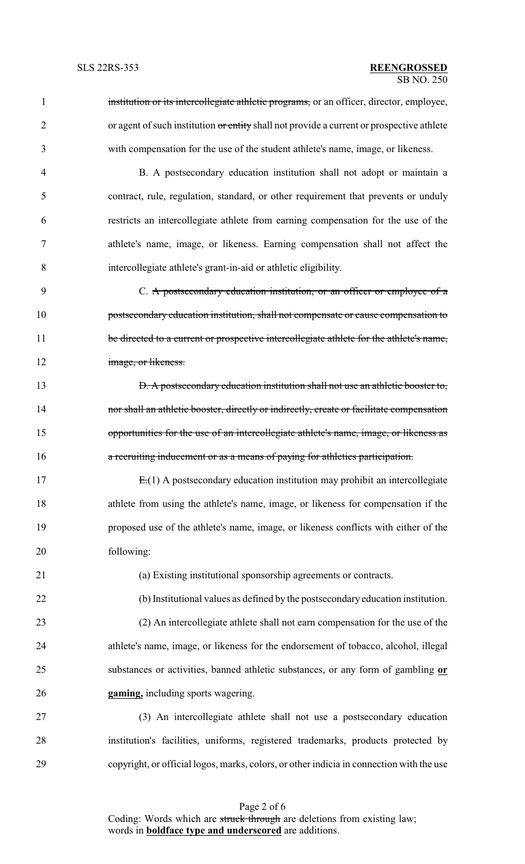1 institution or its intercollegiate athletic programs, or an officer, director, employee, 2 or agent of such institution or entity shall not provide a current or prospective athlete with compensation for the use of the student athlete's name, image, or likeness. B. A postsecondary education institution shall not adopt or maintain a contract, rule, regulation, standard, or other requirement that prevents or unduly restricts an intercollegiate athlete from earning compensation for the use of the athlete's name, image, or likeness. Earning compensation shall not affect the intercollegiate athlete's grant-in-aid or athletic eligibility. 9 C. A postsecondary education institution, or an officer or employee of a **postsecondary education institution, shall not compensate or cause compensation to** 11 be directed to a current or prospective intercollegiate athlete for the athlete's name, **image**, or likeness. **D. A postsecondary education institution shall not use an athletic booster to, nor shall an athletic booster, directly or indirectly, create or facilitate compensation** 15 opportunities for the use of an intercollegiate athlete's name, image, or likeness as **a recruiting inducement or as a means of paying for athletics participation.**  E.(1) A postsecondary education institution may prohibit an intercollegiate athlete from using the athlete's name, image, or likeness for compensation if the proposed use of the athlete's name, image, or likeness conflicts with either of the following: (a) Existing institutional sponsorship agreements or contracts. (b) Institutional values as defined by the postsecondary education institution. (2) An intercollegiate athlete shall not earn compensation for the use of the athlete's name, image, or likeness for the endorsement of tobacco, alcohol, illegal substances or activities, banned athletic substances, or any form of gambling **or gaming,** including sports wagering. (3) An intercollegiate athlete shall not use a postsecondary education institution's facilities, uniforms, registered trademarks, products protected by copyright, or official logos, marks, colors, or other indicia in connection with the use

Page 2 of 6 Coding: Words which are struck through are deletions from existing law; words in **boldface type and underscored** are additions.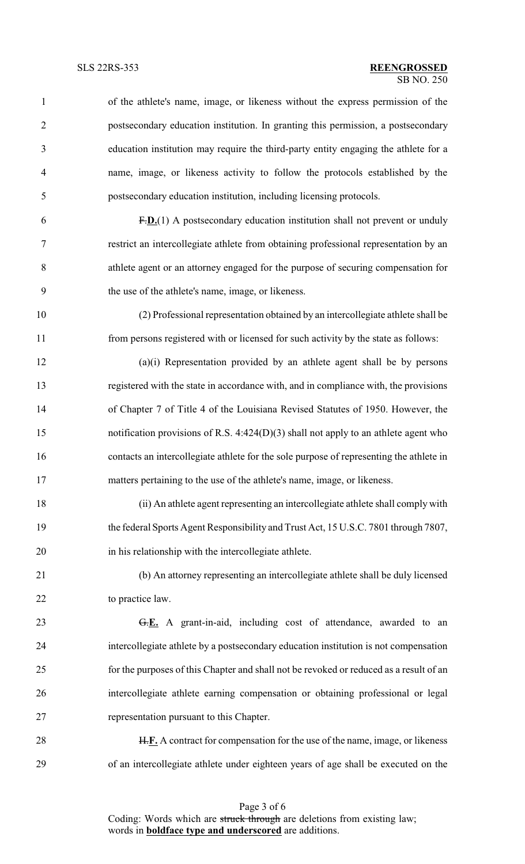| $\mathbf{1}$   | of the athlete's name, image, or likeness without the express permission of the         |
|----------------|-----------------------------------------------------------------------------------------|
| $\overline{2}$ | postsecondary education institution. In granting this permission, a postsecondary       |
| 3              | education institution may require the third-party entity engaging the athlete for a     |
| $\overline{4}$ | name, image, or likeness activity to follow the protocols established by the            |
| 5              | postsecondary education institution, including licensing protocols.                     |
| 6              | $F.D.(1)$ A postsecondary education institution shall not prevent or unduly             |
| 7              | restrict an intercollegiate athlete from obtaining professional representation by an    |
| 8              | athlete agent or an attorney engaged for the purpose of securing compensation for       |
| 9              | the use of the athlete's name, image, or likeness.                                      |
| 10             | (2) Professional representation obtained by an intercollegiate athlete shall be         |
| 11             | from persons registered with or licensed for such activity by the state as follows:     |
| 12             | (a)(i) Representation provided by an athlete agent shall be by persons                  |
| 13             | registered with the state in accordance with, and in compliance with, the provisions    |
| 14             | of Chapter 7 of Title 4 of the Louisiana Revised Statutes of 1950. However, the         |
| 15             | notification provisions of R.S. 4:424(D)(3) shall not apply to an athlete agent who     |
| 16             | contacts an intercollegiate athlete for the sole purpose of representing the athlete in |
| 17             | matters pertaining to the use of the athlete's name, image, or likeness.                |
| 18             | (ii) An athlete agent representing an intercollegiate athlete shall comply with         |
| 19             | the federal Sports Agent Responsibility and Trust Act, 15 U.S.C. 7801 through 7807,     |
| 20             | in his relationship with the intercollegiate athlete.                                   |
| 21             | (b) An attorney representing an intercollegiate athlete shall be duly licensed          |
| 22             | to practice law.                                                                        |
| 23             | G.E. A grant-in-aid, including cost of attendance, awarded to an                        |
| 24             | intercollegiate athlete by a postsecondary education institution is not compensation    |
| 25             | for the purposes of this Chapter and shall not be revoked or reduced as a result of an  |
| 26             | intercollegiate athlete earning compensation or obtaining professional or legal         |
| 27             | representation pursuant to this Chapter.                                                |

28 H.F. A contract for compensation for the use of the name, image, or likeness of an intercollegiate athlete under eighteen years of age shall be executed on the

> Page 3 of 6 Coding: Words which are struck through are deletions from existing law; words in **boldface type and underscored** are additions.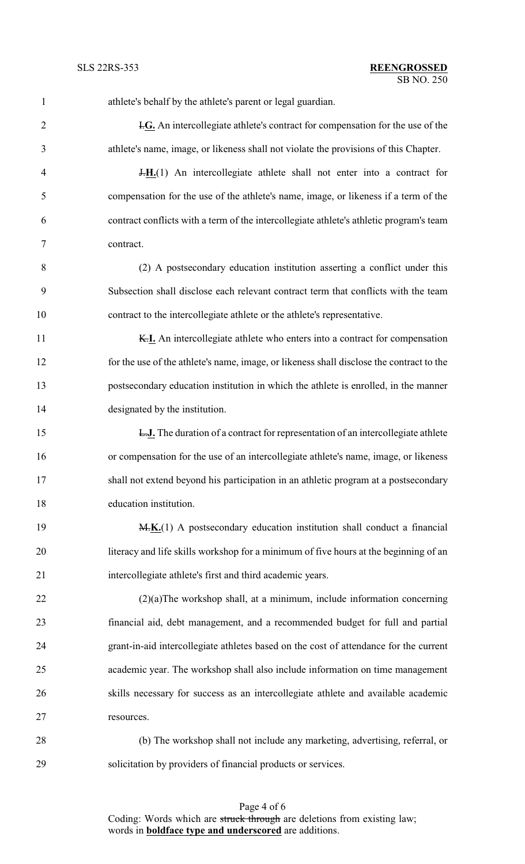| 1              | athlete's behalf by the athlete's parent or legal guardian.                              |
|----------------|------------------------------------------------------------------------------------------|
| $\overline{2}$ | I.G. An intercollegiate athlete's contract for compensation for the use of the           |
| 3              | athlete's name, image, or likeness shall not violate the provisions of this Chapter.     |
| $\overline{4}$ | $H_{1}(1)$ An intercollegiate athlete shall not enter into a contract for                |
| 5              | compensation for the use of the athlete's name, image, or likeness if a term of the      |
| 6              | contract conflicts with a term of the intercollegiate athlete's athletic program's team  |
| 7              | contract.                                                                                |
| 8              | (2) A postsecondary education institution asserting a conflict under this                |
| 9              | Subsection shall disclose each relevant contract term that conflicts with the team       |
| 10             | contract to the intercollegiate athlete or the athlete's representative.                 |
| 11             | K.I. An intercollegiate athlete who enters into a contract for compensation              |
| 12             | for the use of the athlete's name, image, or likeness shall disclose the contract to the |
| 13             | postsecondary education institution in which the athlete is enrolled, in the manner      |
| 14             | designated by the institution.                                                           |
| 15             | <b>L.J.</b> The duration of a contract for representation of an intercollegiate athlete  |
| 16             | or compensation for the use of an intercollegiate athlete's name, image, or likeness     |
| 17             | shall not extend beyond his participation in an athletic program at a postsecondary      |
| 18             | education institution.                                                                   |
| 19             | M.K.(1) A postsecondary education institution shall conduct a financial                  |
| 20             | literacy and life skills workshop for a minimum of five hours at the beginning of an     |
| 21             | intercollegiate athlete's first and third academic years.                                |
| 22             | $(2)(a)$ The workshop shall, at a minimum, include information concerning                |
| 23             | financial aid, debt management, and a recommended budget for full and partial            |
| 24             | grant-in-aid intercollegiate athletes based on the cost of attendance for the current    |
| 25             | academic year. The workshop shall also include information on time management            |
| 26             | skills necessary for success as an intercollegiate athlete and available academic        |
| 27             | resources.                                                                               |
| 28             | (b) The workshop shall not include any marketing, advertising, referral, or              |
| 29             | solicitation by providers of financial products or services.                             |

Page 4 of 6 Coding: Words which are struck through are deletions from existing law; words in **boldface type and underscored** are additions.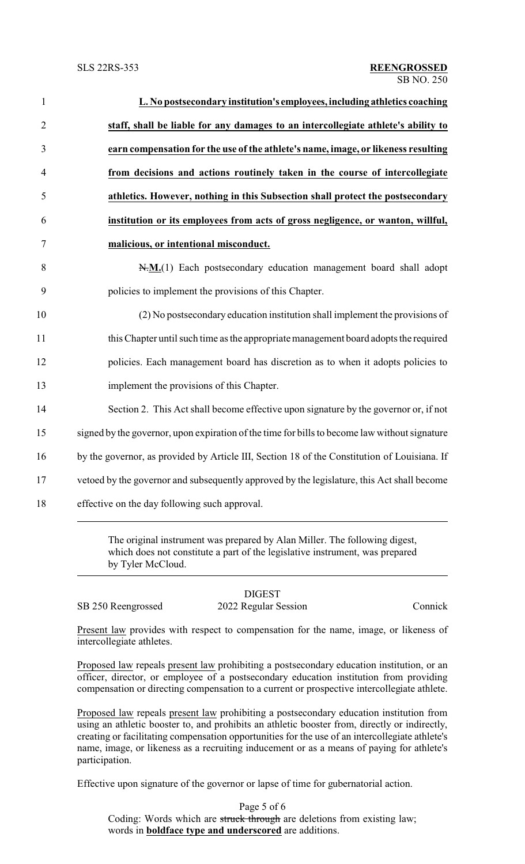| L. No postsecondary institution's employees, including athletics coaching                     |
|-----------------------------------------------------------------------------------------------|
| staff, shall be liable for any damages to an intercollegiate athlete's ability to             |
| earn compensation for the use of the athlete's name, image, or likeness resulting             |
| from decisions and actions routinely taken in the course of intercollegiate                   |
| athletics. However, nothing in this Subsection shall protect the postsecondary                |
| institution or its employees from acts of gross negligence, or wanton, willful,               |
| malicious, or intentional misconduct.                                                         |
| N.M.(1) Each postsecondary education management board shall adopt                             |
| policies to implement the provisions of this Chapter.                                         |
| (2) No postsecondary education institution shall implement the provisions of                  |
| this Chapter until such time as the appropriate management board adopts the required          |
| policies. Each management board has discretion as to when it adopts policies to               |
| implement the provisions of this Chapter.                                                     |
| Section 2. This Act shall become effective upon signature by the governor or, if not          |
| signed by the governor, upon expiration of the time for bills to become law without signature |
| by the governor, as provided by Article III, Section 18 of the Constitution of Louisiana. If  |
| vetoed by the governor and subsequently approved by the legislature, this Act shall become    |
| effective on the day following such approval.                                                 |

which does not constitute a part of the legislative instrument, was prepared by Tyler McCloud.

SB 250 Reengrossed 2022 Regular Session Connick

DIGEST

Present law provides with respect to compensation for the name, image, or likeness of intercollegiate athletes.

Proposed law repeals present law prohibiting a postsecondary education institution, or an officer, director, or employee of a postsecondary education institution from providing compensation or directing compensation to a current or prospective intercollegiate athlete.

Proposed law repeals present law prohibiting a postsecondary education institution from using an athletic booster to, and prohibits an athletic booster from, directly or indirectly, creating or facilitating compensation opportunities for the use of an intercollegiate athlete's name, image, or likeness as a recruiting inducement or as a means of paying for athlete's participation.

Effective upon signature of the governor or lapse of time for gubernatorial action.

Page 5 of 6 Coding: Words which are struck through are deletions from existing law; words in **boldface type and underscored** are additions.